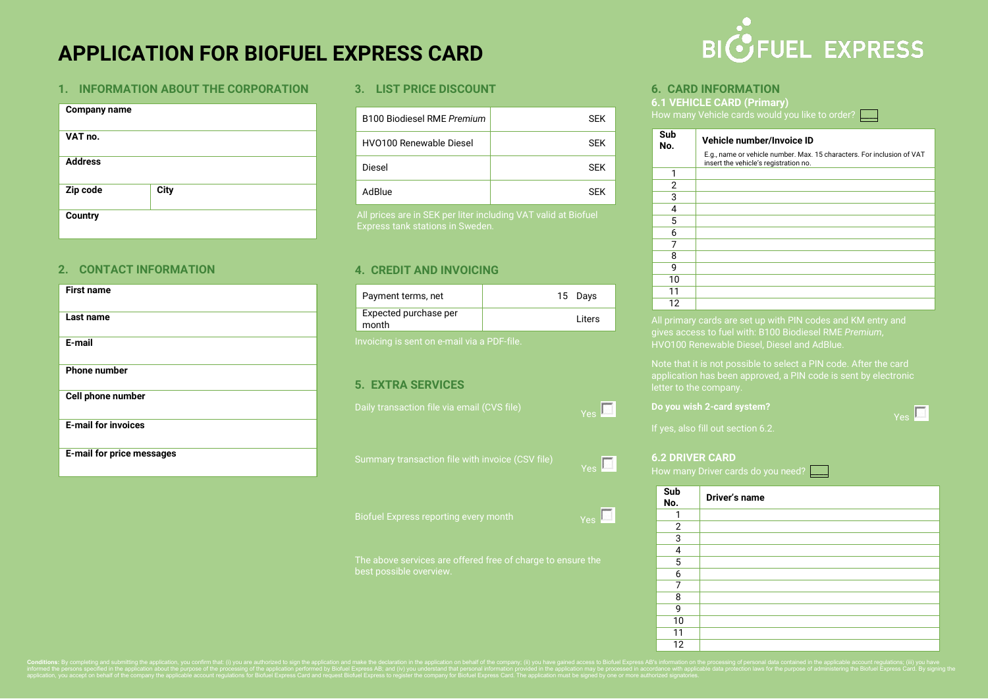# **APPLICATION FOR BIOFUEL EXPRESS CARD**

### **1. INFORMATION ABOUT THE CORPORATION**

| <b>Company name</b> |             |  |
|---------------------|-------------|--|
| VAT no.             |             |  |
| <b>Address</b>      |             |  |
| Zip code            | <b>City</b> |  |
| <b>Country</b>      |             |  |

### **2. CONTACT INFORMATION**

| <b>First name</b>                |  |
|----------------------------------|--|
| Last name                        |  |
| E-mail                           |  |
| <b>Phone number</b>              |  |
| Cell phone number                |  |
| <b>E-mail for invoices</b>       |  |
| <b>E-mail for price messages</b> |  |

### **3. LIST PRICE DISCOUNT**

| B100 Biodiesel RME Premium     | <b>SEK</b> |
|--------------------------------|------------|
| <b>HVO100 Renewable Diesel</b> | <b>SFK</b> |
| Diesel                         | <b>SFK</b> |
| AdBlue                         | <b>SFK</b> |

All prices are in SEK per liter including VAT valid at Biofuel Express tank stations in Sweden.

### **4. CREDIT AND INVOICING**

| Payment terms, net             | 15 Days |
|--------------------------------|---------|
| Expected purchase per<br>month | I iters |

Invoicing is sent on e-mail via a PDF-file.

### **5. EXTRA SERVICES**

Daily transaction file via email (CVS file)

Summary transaction file with invoice (CSV file)

The above services are offered free of charge to ensure the best possible overview.



### **6. CARD INFORMATION**

**6.1 VEHICLE CARD (Primary)** How many Vehicle cards would you like to order?

| Sub<br>No. | Vehicle number/Invoice ID                                                                                       |
|------------|-----------------------------------------------------------------------------------------------------------------|
|            | E.g., name or vehicle number. Max. 15 characters. For inclusion of VAT<br>insert the vehicle's registration no. |
| 1          |                                                                                                                 |
| 2          |                                                                                                                 |
| 3          |                                                                                                                 |
| 4          |                                                                                                                 |
| 5          |                                                                                                                 |
| 6          |                                                                                                                 |
| 7          |                                                                                                                 |
| 8          |                                                                                                                 |
| 9          |                                                                                                                 |
| 10         |                                                                                                                 |
| 11         |                                                                                                                 |
| 12         |                                                                                                                 |

All primary cards are set up with PIN codes and KM entry and gives access to fuel with: B100 Biodiesel RME *Premium*, HVO100 Renewable Diesel, Diesel and AdBlue.

letter to the company.

Yes<sup>II</sup>

### **Do you wish 2-card system?**

Y<sub>es</sub>

Y<sub>es</sub>

Yes<sup>T</sup>

If yes, also fill out section 6.2.

### **6.2 DRIVER CARD**

How many Driver cards do you need? \_\_\_\_

| Sub<br>No.     | Driver's name |
|----------------|---------------|
| 1              |               |
| $\overline{2}$ |               |
| 3              |               |
| 4              |               |
| 5              |               |
| 6              |               |
| 7              |               |
| 8              |               |
| 9              |               |
| 10             |               |
| 11             |               |
| 12             |               |

Conditions: By completing and submitting the application, you confirm that: (i) you are authorized to sign the application and make the declaration in the application on behalf of the company; (ii) you have gained access t